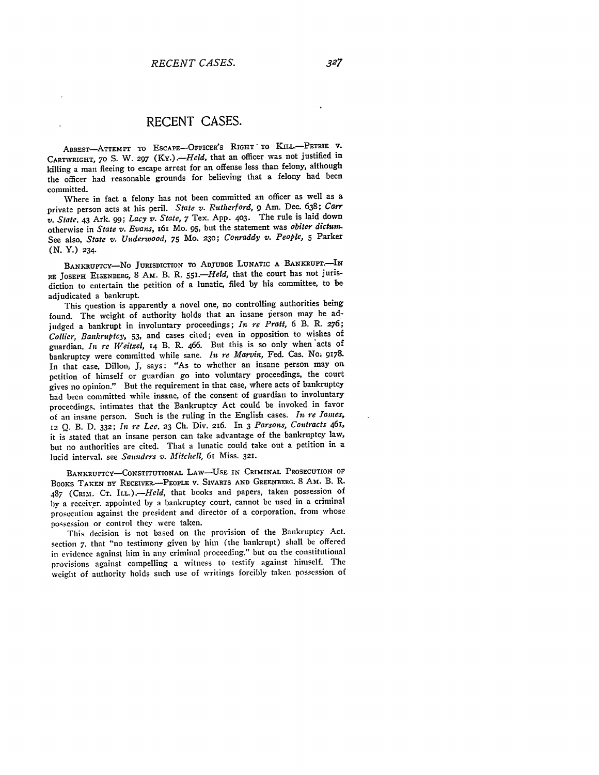## **RECENT CASES.**

ARREST-ATTEMPT TO ESCAPE-OFFICER'S RIGHT TO KILL.-PETRIE V. CARTWRIGHT, 70 S. W. 297 (Ky.).-*Held*, that an officer was not justified in killing a man fleeing to escape arrest for an offense less than felony, although the officer had reasonable grounds for believing that a felony had been committed.

Where in fact a felony has not been committed an officer as well as a private person acts at his peril. *State v. Rutherford, 9* Am. Dec. **638;** *Carr v. State.* 43 Ark. **99;** *Lacy v. State,* 7 Tex. App. **403.** The rule is laid down otherwise in *State v. Evans,* **16I** Mo. **95,** but the statement was *obiter dictum.* See also, *State v. Underwood,* 75 Mo. **230;** *Conraddy v. People,* **5** Parker **(N.** Y.) 234.

BANKRUPTcY-No JURISDICTION TO **ADJUDGE** LUNATIC **A BANKRUPT.-IN** RE JOSEPH EISENBERG, 8 AM. B. R. *55i.-Held,* that the court has not jurisdiction to entertain the petition of a lunatic, filed **by** his committee, to be adjudicated a bankrupt.

This question is apparently a novel one, no controlling authorities being found. The weight of authority holds that an insane person may be adjudged a bankrupt in involuntary proceedings; *In re Pratt,* **6** B. R. **276;** *Collier, Bankruptcy, 53,* and cases cited; even in opposition to wishes of guardian, *In re Weitzel,* **14** B. R. 466. But this is so only when acts of bankruptcy were committed while sane. *In re Marvin,* Fed. Cas. No; 9178. In that case, Dillon, **J,** says: "As to whether an insane person may on petition of himself or guardian go into voluntary proceedings, the court gives no opinion." But the requirement in that case, where acts of bankruptcy had been committed while insane, of the consent of guardian to involuntary proceedings. intimates that the Bankruptcy Act could be invoked in favor of an insane person. Such is the ruling in the English cases. *In re lames,* **<sup>12</sup>**Q. B. D. **332;** *In rc Lee,* **23** Ch. Div. 216. In 3 *Parsons, Contracts 461,* it is stated that an insane person can take advantage of the bankruptcy law, but no authorities are cited. That a lunatic could take out a petition in a lucid interval, see *Saunders v. Mitchell,* 61 Miss. **321.**

**BANKRUPTCY-CONSTITUTIONAL LAW-USE IN** CRIMINAL **PROSECUTION OF** BOOKS **TAKEN By RECEIVER.-PEOPLE** V. SIVARTS **AND GREENBERG.** 8 Am,. B. R. 487 (CRIM. **CT.** *ILL.).-Held,* that books and papers, taken possession of by a receiver, appointed by a bankruptcy court, cannot be used in a criminal prosecution against the president and director of a corporation, from whose possession or control they were taken.

This decision is not based on the provision of the Bankruptcy Act. section **7.** that "no testimony given by him (the bankrupt) shall be offered in evidence against him in any criminal proceeding." but on the constitutional provisions against compelling a witness to testify against himself. The weight of authority holds such use of writings forcibly taken possession of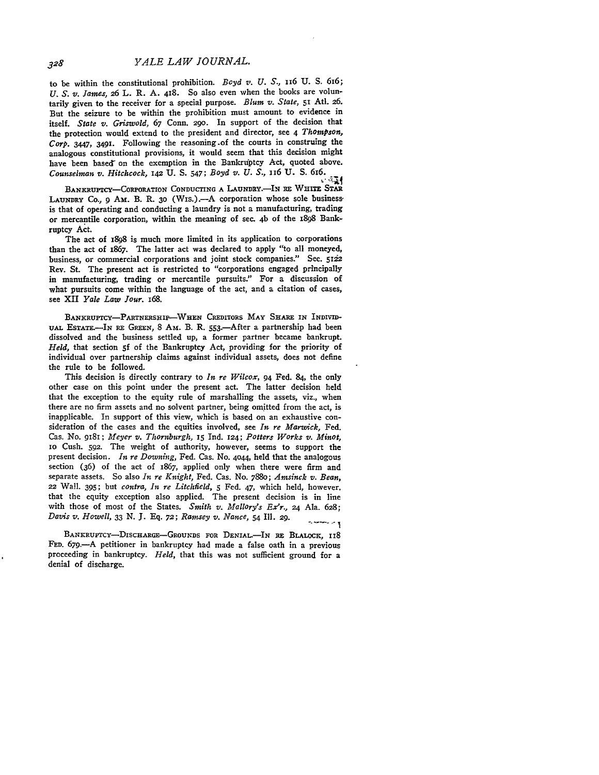to be within the constitutional prohibition. *Boyd v. U. S.,* 1i6 **U.** S. 616; *U. S. v. James,* 26 L. R. **A.** 418. So also even when the books are voluntarily given to the receiver for a special purpose. *Blum v. State,* **5i Atl. 26.** But the seizure to be within the prohibition must amount to evidence in itself. *State v. Griswold,* **67** Conn. **290.** In support of the decision that the protection would extend to the president and director, see 4 *Thompson, Corp. 3447,* **349i.** Following the reasoning.of the courts in construing the analogous constitutional provisions, it would seem that this decision might have been based on the exemption in the Bankruptcy Act, quoted above. *Counselman v. Hitchcock,* 142 **U. S.** 547; *Boyd v. U. S.,* i6 **U. S.** 6x6.

BANKRUPTCY-CORPORATION **CONDUCTING A** LAUNDY.-IN **RE WHITE STAR** LAUNDRY Co., **9 AM.** B. R. **30** (Wis.).-A corporation whose sole businessis that of operating and conducting a laundry is not a manufacturing, trading or mercantile corporation, within the meaning of sec. 4b of the 1898 Bankruptcy Act.

The act of **i898** is much more limited in its application to corporations than the act of 1867. The latter act was declared to apply "to all moneyed, business, or commercial corporations and joint stock companies." Sec. **5122** Rev. St. The present act is restricted to "corporations engaged principally in manufacturing, trading or mercantile pursuits." For a discussion of what pursuits come within the language of the act, and a citation of cases, see XII *Yale Law Jour.* i68.

BANKRUPTCY-PARTNERSHIP-WHEN CREDITORS MAY SHARE IN INDIVID-UAL EsTATE.-IN RE **GREEN, 8** Am. B. R. 553.-After a partnership had been dissolved and the business settled up, a former partner became bankrupt. *Held,* that section **5f of** the Bankruptcy Act, providing for the priority of individual over partnership claims against individual assets, does not define the rule to be followed.

This decision is directly contrary to *In re Wilcox,* 94 Fed. 84, the only other case on this point under the present act. The latter decision held that the exception to the equity rule of marshalling the assets, viz., when there are no firm assets and no solvent partner, being omitted from the act, is inapplicable. In support of this view, which is based on an exhaustive consideration of the cases and the equities involved, see *In re Marwick,* Fed. Cas. No. 9181; *Meyer v. Thornburgh, 15* Ind. **124;** *Potters Works v. Minot,* io Cush. **592.** The weight of authority, however, seems to support the present decision. *In re Downing,* Fed. Cas. No. 4o44, held that the analogous section (36) of the act of 1867, applied only when there were firm and separate assets. So also *In re Knight,* Fed. Cas. No. 7880; *Amsinck v. Bean,* **22** Wall. 395; but *contra, In re Litchfield,* **5 Fed.** 47, which held, however. that the equity exception also applied. The present decision is in line with those **of** most of the States. *Smith v. Mallory's Ex'r., 24* Ala. **628;** *Davis v. Howell, 33* **N.** *3.* **Eq.** *72; Ramsey v. Nance,* 54 Ill. **29.** وبالسباب

BANKRUPTcY-DISCHARGE-GROUNDS FOR **DENIAL.-IN RE** BLALOCK, **118 FED. 679.-A** petitioner in bankruptcy had made a false oath in a previous proceeding in bankruptcy. *Held,* that this was not sufficient ground for a denial of discharge.

328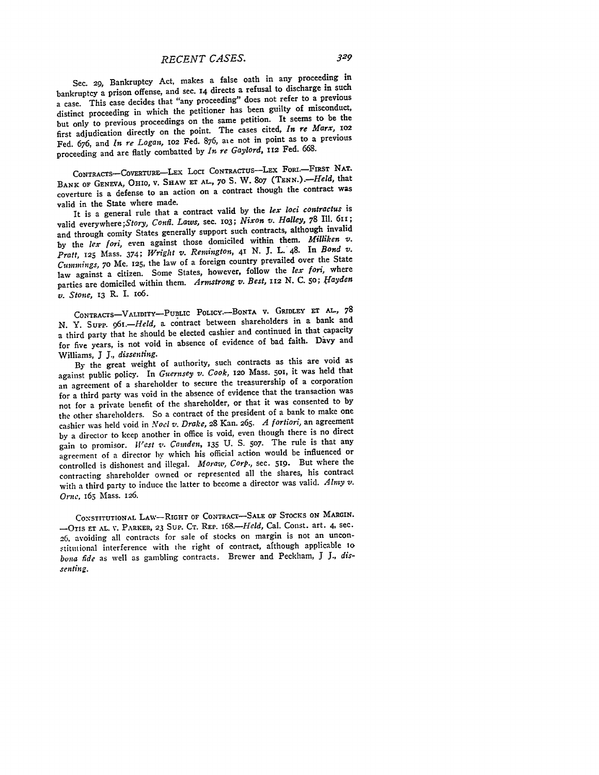## *RECENT CASES.*

Sec. 29, Bankruptcy Act, makes a false oath in any proceeding in bankruptcy a prison offense, and sec. 14 directs a refusal to discharge in such a case. This case decides that "any proceeding" does not refer to a previous distinct proceeding in which the petitioner has been guilty of misconduct, but only to previous proceedings on the same petition. It seems to be the first adjudication directly on the point. The cases cited, *In re Marx, 1o2* Fed. 676, and *In re Logan,* io2 Fed. 876, aie not in point as to a previous proceeding and are flatly combatted by *In re Gaylord,* **I2** Fed. 668.

CONTRACTS-COVERTURE-LEX LOCI CONTRACTUS-LEX FORI.-FIRST NAT. BANK OF GENEVA, OHIO, V. SHAW **ET AL., 70** S. W. **807** *(TENN.).-Held,* that coverture is a defense to an action on a contract though the contract was valid in the State where made.

It is a general rule that a contract valid by the *lex loci contractus* is valid everywhere;Story, *Confi. Laws,* sec. 1o3; *Nixon v. Halley,* 78 Ill. 611; and through comity States generally support such contracts, although invalid by the *lex fori,* even against those domiciled within them. *Milliken v. Pratt,* **125** Mass. 374; *Wright v. Remington, 41* N. **J.** L. 48. In *Bond v. Cummitgs,* **70** Me. 125, the law of a foreign country prevailed over the State law against a citizen. Some States, however, follow the *lex fori,* where parties are domiciled within them. *Arnstrong v. Best, 112* N. C. **50;** *f ayden v. Stone,* **13** R. **I.** io6.

CONTRACTs-VALIDITY-PUBLIC POLicY.-BoNTA v. **GRIDLEY ET** AL., **<sup>78</sup> N.** Y. Supr. *<sup>9</sup> 6i.-Held,* a contract between shareholders in a bank and a third party that he should be elected cashier and continued in that capacity for five years, is not void in absence of evidence of bad faith. Davy and Williams, **J** *J., dissenting.*

**By** the great weight of authority, such contracts as this are void as against public policy. In *Guernsey v. Cook,* **120** Mass. **5O,** it was held that an agreement of a shareholder to secure the treasurership of a corporation for a third party was void in the absence of evidence that the transaction was not for a private benefit of the shareholder, or that it was consented to by the other shareholders. So a contract of the president of a bank to make one cashier was held void in *Noel v. Drake,* 28 Kan. 265. *A fortiori,* an agreement by a director to keep another in office is void, even though there is no direct gain to promisor. *West v. Camden,* **135** U. **S. 507.** The rule is that any agreement of a director by which his official action would be influenced or controlled is dishonest and illegal. *Moraw, Corp.,* sec. **519.** But where the contracting shareholder owned or represented all the shares, his contract with a third party to induce the latter to become a director was valid. *Almy v. Orne,* **165** Mass. **126.**

**CONSTITUTIONAL LAw-RIGHT** OF **CONTRACT-SALE OF STOCKS ON** MARGIN. -OTIs **ET AL.** V. PARKER, **23** Sup. **CT.** REP. *I68.-Held,* Cal. Const. art. 4, sec. 26, avoiding all contracts for sale of stocks on margin is not an unconstitutional interference with the right of contract, afthough applicable **io** *bona fde* as well as gambling contracts. Brewer and Peckham, **J** *J., dissenting.*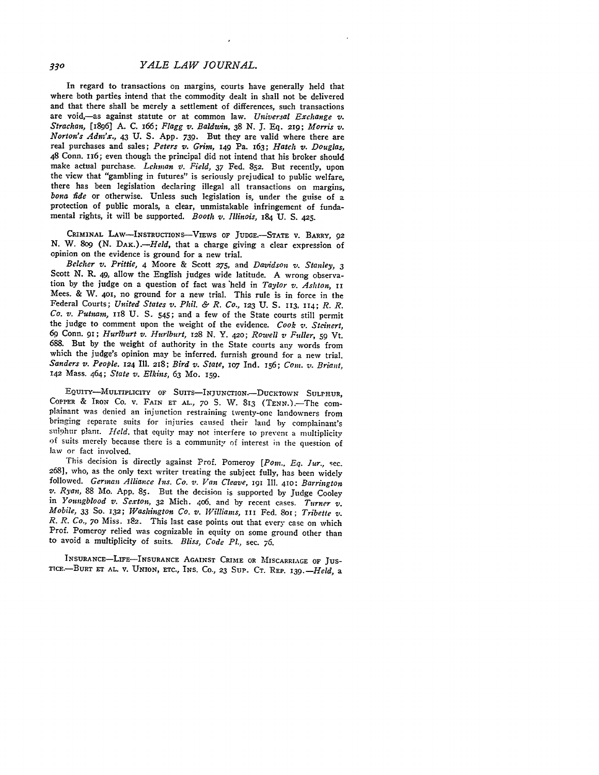In regard to transactions on margins, courts have generally held that where both parties intend that the commodity dealt in shall not be delivered and that there shall be merely a settlement of differences, such transactions are void,-as against statute or at common law. *Universal Exchange v. Strachan,* [1896] A. C. i66; *Flagg v. Baldwin,* **38** *N.* J. **Eq.** 219; *Morris v. Norton's Adm'x.,* 43 U. S. App. 739. But they are valid where there are real purchases and sales; *Peters v. Grim,* **149** Pa. 163; *Hatch v. Douglas,* 48 Conn. 116; even though the principal did not intend that his broker should make actual purchase. *Lehman v'. Field,* **37** Fed. 852. But recently, upon the view that "gambling in futures" is seriously prejudical to public welfare, there has been legislation declaring illegal all transactions on margins, *bona fide* or otherwise. Unless such legislation is, under the guise of a protection of public morals, a clear, unmistakable infringement of fundamental rights, it will be supported. *Booth v. Illinois,* 184 **U.** S. 425.

CRIMINAL LAW-INSTRUCTIONS-VIEWS OF **JUDGE.-STATE V.** BARRY, *92* **N.** W. **809 (N.** *DAK.).-Held,* that a charge giving a clear expression of opinion on the evidence is ground for a new trial.

*Belcher v. Prittie,* 4 Moore & Scott *275,* and *Davidson v. Stanley, <sup>3</sup>* Scott **N.** R. **49,** allow the English judges wide latitude. A wrong observation **by** the judge on a question of fact was 'held in *Taylor v. Ashton,* II Mees. & W. **401,** no ground for a new trial. This rule is in force in the Federal Courts; *United States v. Phil. & R. Co.,* 123 **U. S.** 113, 114; *R. R. Co. v. Putnam,* 118 **U. S. 545;** and a few of the State courts still permit the judge to comment upon the weight of the evidence. *Cook v. Steinert,* **<sup>69</sup>**Conn. 91; *Hurlburt v. Hurlburt, 128* **N.** Y. 42o; *Rowell v Fuller,* **59** Vt. **688.** But **by** the weight of authority in the State courts any words from which the judge's opinion may be inferred, furnish ground for a new trial. *Sanders v. People.* **124** Ill. 218; *Bird v. State,* **1O7** Ind. 156; *Com. v. Briant,* **142** Mass. 464; *State v. Elkins,* **63** Mo. **159.**

EQUITY-MULTIPLICITY OF SUITS-INJUNcTIoN.-DUCKTOWN **SULPHUR,** COPPER & IRON CO. V. FAIN ET AL., 70 S. W. 813 (TENN.).-The com-<br>plainant was denied an injunction restraining twenty-one landowners from bringing separate suits for injuries caused their land by complainant's sulphur plant. *Hield.* that equity may not interfere to prevent a multiplicity of suits merely because there is a community of interest in the question of law or fact involved.

This decision is directly against Prof. Pomeroy [Pom., Eq. Jur., sec. 268], who, as the only text writer treating the subject fully, has been widely followed. *German Alliance Ins. Co. v. Van Cleave,* 191 Ill. 410: *Barrington v. Ryan,* 88 Mo. App. **85.** But the decision is supported by Judge Cooley in *Youngblood v. Sexton,* **32** Mich. 406. and by recent cases. *Turner v. Mobile, 33* So. **132;** *Washington Co. v. Williams,* **III** Fed. 8oi; *Tribette v. R. R. Co.,* **70** Miss. 182. This last case points out that every case on which Prof. Pomeroy relied was cognizable in equity on some ground other than to avoid a multiplicity of suits. *Bliss, Code PI.,* sec. 76.

INSURANcE-LIFE-INSURANcE **AGAINST** CRIME **OR** MISCARRIAGE **OF Jus-TrC.-BURT ET AL.** V. UNION, **ETc.,** INS. Co., **23 SuP. CT.** REP. *139.-Held,* a

330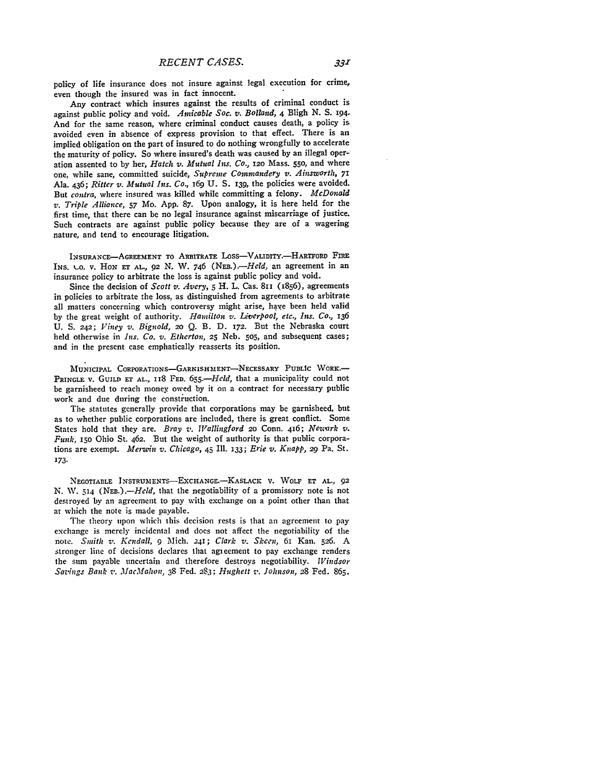policy of life insurance does not insure against legal execution for crime, even though the insured was in fact innocent.

Any contract which insures against the results of criminal conduct is against public policy and void. *Amicable Soc. v. Bollazd,* 4 Bligh **N. S.** 194. And for the same reason, where criminal conduct causes death, a policy is avoided even in absence of express provision to that effect. There is an implied obligation on the part of insured to do nothing wrongfully to accelerate the maturity of policy. So where insured's death was caused **by** an illegal operation assented to **by** her, *Hatch v. Mutual Ins. Co.,* **i2o** Mass. **550,** and where one, while sane, committed suicide, *Supreme Comnzandery v. Ainsworth, 71* Ala. 436; *Ritter v. Mutual Ins. Co.,* **i69 U. S.** I39, the policies were avoided. But *contra,* where insured was killed while committing a felony. *McDonald v. Triple Alliance,* **57** Mo. **App. 87.** Upon analogy, it is here held for the first time, that there can be no legal insurance against miscarriage of justice. Such contracts are against public policy because they are of a wagering nature, and tend to encourage litigation.

INSURANCE-AGREEMENT TO ARBITRATE LOSS-VALIDITY.-HARTFORD FIRE INs. **k.o.** v. **HoN ET AL-, 92** *N.* W. 746 *(NEB.).-Held,* an agreement in an insurance policy to arbitrate the loss is against public policy and void.

Since the decision of *Scott v. Avery*, *5* H. L. Cas. 811 (1856), agreements in policies to arbitrate the loss, as distinguished from agreements to arbitrate all matters concerning which controversy might arise, have been held valid by the great weight of authority. *Hamilton v. Liverpool, etc., Ins. Co.,* <sup>136</sup> U. *S. 242; Viney v. Bignold,* 2o **Q.** B. D. 172. But the Nebraska court held otherwise in *Ins. Co. v. Etherton,* **25** Neb. 5o5, and subsequent cases; and in the present case emphatically reasserts its position.

**MUNICIPAL CORPORATIONS-GARNISHMENT-NECESSARY PUBLIC WORK.-** PRINGLE V. GUILD ET AL., II8 FED. 655.-Held, that a municipality could not **be** garnisheed to reach money owed **by** it on a contract for necessary public work and due during the construction.

The statutes generally provide that corporations may be garnisheed, but as to whether public corporations are included, there is great conflict. Some States hold that they are. *Bray v. Wallingford* **20** Conn. 416; *Neswark v. Funk,* **i5o** Ohio St. 462. But the weight of authority is that public corporations are exempt. *Me-nin v. Chicago,* 45 I1. **133;** *Erie v. Knapp,* 29 Pa. St. *173.*

**NEGOTIABLE INSTRUMENTS-ExCHANGE.-KASLACK V.** WOLF **ET AL., 92 N.** W. 514 *(NEB.).-Held,* that the negotiability of a promissory note is not destroyed **by** an agreement to pay with exchange on a point other than that at which the note is made payable.

The theory upon which this decision rests is that an agreement to pay exchange is merely incidental and does not affect the negotiability of the note. *Smith v. Kendall, 9* Mich. 241 **;** *Clark v. Slecen,* 6i Kan. 526. A stronger line of decisions declares that agieement to pay exchange renders the sum payable uncertain and therefore destroys negotiability. *Windsor Savings Bank v. MacMahon,* 38 Fed. **283;** *Hughett v. Johnson,* **28** Fed. **865.**